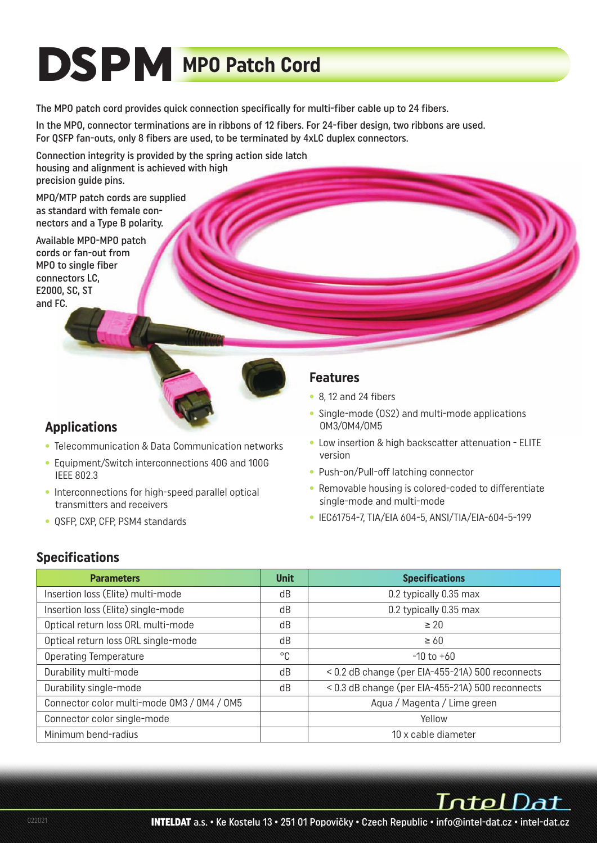# **DSPM MPO Patch Cord**

The MPO patch cord provides quick connection specifically for multi-fiber cable up to 24 fibers.

In the MPO, connector terminations are in ribbons of 12 fibers. For 24-fiber design, two ribbons are used. For QSFP fan-outs, only 8 fibers are used, to be terminated by 4xLC duplex connectors.

Connection integrity is provided by the spring action side latch housing and alignment is achieved with high precision guide pins.

MPO/MTP patch cords are supplied as standard with female connectors and a Type B polarity.

Available MPO-MPO patch cords or fan-out from MPO to single fiber connectors LC, E2000, SC, ST and FC.



### **Applications**

- Telecommunication & Data Communication networks
- Equipment/Switch interconnections 40G and 100G IEEE 802.3
- Interconnections for high-speed parallel optical transmitters and receivers
- QSFP, CXP, CFP, PSM4 standards

#### **Features**

- 8, 12 and 24 fibers
- Single-mode (OS2) and multi-mode applications OM3/OM4/OM5
- Low insertion & high backscatter attenuation ELITE version
- Push-on/Pull-off latching connector
- Removable housing is colored-coded to differentiate single-mode and multi-mode
- IEC61754-7, TIA/EIA 604-5, ANSI/TIA/EIA-604-5-199

#### **Specifications**

| <b>Parameters</b>                          | <b>Unit</b> | <b>Specifications</b>                            |
|--------------------------------------------|-------------|--------------------------------------------------|
| Insertion loss (Elite) multi-mode          | dB          | 0.2 typically 0.35 max                           |
| Insertion loss (Elite) single-mode         | dB          | 0.2 typically 0.35 max                           |
| Optical return loss ORL multi-mode         | dB          | $\geq 20$                                        |
| Optical return loss ORL single-mode        | dB          | $\geq 60$                                        |
| <b>Operating Temperature</b>               | °C          | $-10$ to $+60$                                   |
| Durability multi-mode                      | dB          | < 0.2 dB change (per EIA-455-21A) 500 reconnects |
| Durability single-mode                     | dB          | < 0.3 dB change (per EIA-455-21A) 500 reconnects |
| Connector color multi-mode OM3 / 0M4 / 0M5 |             | Aqua / Magenta / Lime green                      |
| Connector color single-mode                |             | Yellow                                           |
| Minimum bend-radius                        |             | 10 x cable diameter                              |

IntelDat